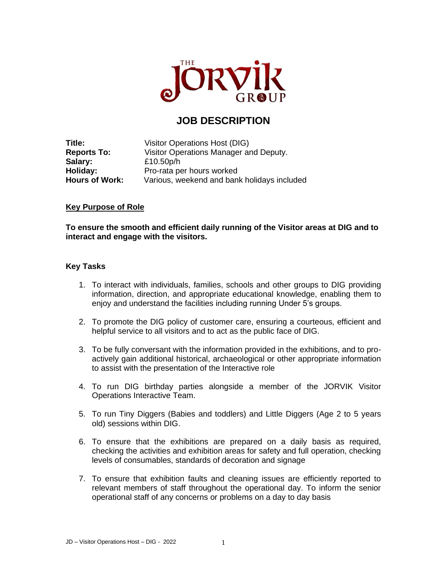

## **JOB DESCRIPTION**

**Title:** Visitor Operations Host (DIG) **Reports To:** Visitor Operations Manager and Deputy. **Salary:** £10.50p/h **Holiday:** Pro-rata per hours worked **Hours of Work:** Various, weekend and bank holidays included

## **Key Purpose of Role**

**To ensure the smooth and efficient daily running of the Visitor areas at DIG and to interact and engage with the visitors.** 

## **Key Tasks**

- 1. To interact with individuals, families, schools and other groups to DIG providing information, direction, and appropriate educational knowledge, enabling them to enjoy and understand the facilities including running Under 5's groups.
- 2. To promote the DIG policy of customer care, ensuring a courteous, efficient and helpful service to all visitors and to act as the public face of DIG.
- 3. To be fully conversant with the information provided in the exhibitions, and to proactively gain additional historical, archaeological or other appropriate information to assist with the presentation of the Interactive role
- 4. To run DIG birthday parties alongside a member of the JORVIK Visitor Operations Interactive Team.
- 5. To run Tiny Diggers (Babies and toddlers) and Little Diggers (Age 2 to 5 years old) sessions within DIG.
- 6. To ensure that the exhibitions are prepared on a daily basis as required, checking the activities and exhibition areas for safety and full operation, checking levels of consumables, standards of decoration and signage
- 7. To ensure that exhibition faults and cleaning issues are efficiently reported to relevant members of staff throughout the operational day. To inform the senior operational staff of any concerns or problems on a day to day basis